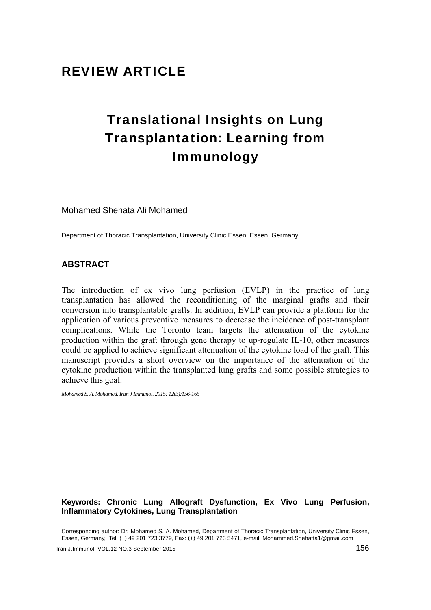## REVIEW ARTICLE

# Translational Insights on Lung Transplantation: Learning from Immunology

Mohamed Shehata Ali Mohamed

Department of Thoracic Transplantation, University Clinic Essen, Essen, Germany

## **ABSTRACT**

The introduction of ex vivo lung perfusion (EVLP) in the practice of lung transplantation has allowed the reconditioning of the marginal grafts and their conversion into transplantable grafts. In addition, EVLP can provide a platform for the application of various preventive measures to decrease the incidence of post-transplant complications. While the Toronto team targets the attenuation of the cytokine production within the graft through gene therapy to up-regulate IL-10, other measures could be applied to achieve significant attenuation of the cytokine load of the graft. This manuscript provides a short overview on the importance of the attenuation of the cytokine production within the transplanted lung grafts and some possible strategies to achieve this goal.

*Mohamed S. A. Mohamed, Iran J Immunol. 2015; 12(3):156-165* 

## **Keywords: Chronic Lung Allograft Dysfunction, Ex Vivo Lung Perfusion, Inflammatory Cytokines, Lung Transplantation**

--------------------------------------------------------------------------------------------------------------------------------------------------------------- Corresponding author: Dr. Mohamed S. A. Mohamed, Department of Thoracic Transplantation, University Clinic Essen, Essen, Germany, Tel: (+) 49 201 723 3779, Fax: (+) 49 201 723 5471, e-mail: Mohammed.Shehatta1@gmail.com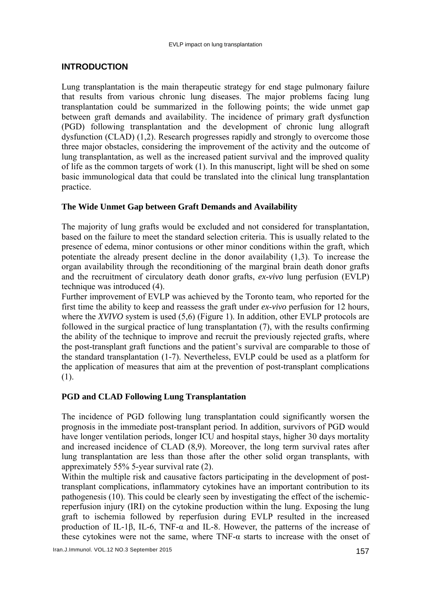## **INTRODUCTION**

Lung transplantation is the main therapeutic strategy for end stage pulmonary failure that results from various chronic lung diseases. The major problems facing lung transplantation could be summarized in the following points; the wide unmet gap between graft demands and availability. The incidence of primary graft dysfunction (PGD) following transplantation and the development of chronic lung allograft dysfunction (CLAD) (1,2). Research progresses rapidly and strongly to overcome those three major obstacles, considering the improvement of the activity and the outcome of lung transplantation, as well as the increased patient survival and the improved quality of life as the common targets of work (1). In this manuscript, light will be shed on some basic immunological data that could be translated into the clinical lung transplantation practice.

## **The Wide Unmet Gap between Graft Demands and Availability**

The majority of lung grafts would be excluded and not considered for transplantation, based on the failure to meet the standard selection criteria. This is usually related to the presence of edema, minor contusions or other minor conditions within the graft, which potentiate the already present decline in the donor availability (1,3). To increase the organ availability through the reconditioning of the marginal brain death donor grafts and the recruitment of circulatory death donor grafts, *ex-vivo* lung perfusion (EVLP) technique was introduced (4).

Further improvement of EVLP was achieved by the Toronto team, who reported for the first time the ability to keep and reassess the graft under *ex-vivo* perfusion for 12 hours, where the *XVIVO* system is used (5.6) (Figure 1). In addition, other EVLP protocols are followed in the surgical practice of lung transplantation (7), with the results confirming the ability of the technique to improve and recruit the previously rejected grafts, where the post-transplant graft functions and the patient's survival are comparable to those of the standard transplantation (1-7). Nevertheless, EVLP could be used as a platform for the application of measures that aim at the prevention of post-transplant complications (1).

## **PGD and CLAD Following Lung Transplantation**

The incidence of PGD following lung transplantation could significantly worsen the prognosis in the immediate post-transplant period. In addition, survivors of PGD would have longer ventilation periods, longer ICU and hospital stays, higher 30 days mortality and increased incidence of CLAD (8,9). Moreover, the long term survival rates after lung transplantation are less than those after the other solid organ transplants, with appreximately 55% 5-year survival rate (2).

Within the multiple risk and causative factors participating in the development of posttransplant complications, inflammatory cytokines have an important contribution to its pathogenesis (10). This could be clearly seen by investigating the effect of the ischemicreperfusion injury (IRI) on the cytokine production within the lung. Exposing the lung graft to ischemia followed by reperfusion during EVLP resulted in the increased production of IL-1β, IL-6, TNF- $\alpha$  and IL-8. However, the patterns of the increase of these cytokines were not the same, where  $TNF-\alpha$  starts to increase with the onset of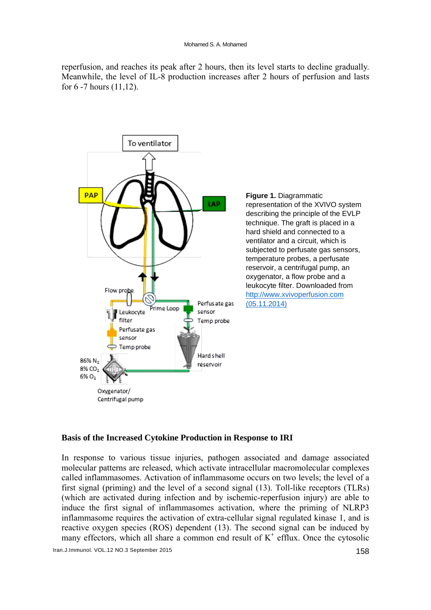reperfusion, and reaches its peak after 2 hours, then its level starts to decline gradually. Meanwhile, the level of IL-8 production increases after 2 hours of perfusion and lasts for  $6 - 7$  hours  $(11, 12)$ .



Figure 1. Diagrammatic representation of the XVIVO system describing the principle of the EVLP technique. The graft is placed in a hard shield and connected to a ventilator and a circuit, which is subjected to perfusate gas sensors, temperature probes, a perfusate reservoir, a centrifugal pump, an oxygenator, a flow probe and a leukocyte filter. Downloaded from http://www.xvivoperfusion.com  $(05.11.2014)$ 

#### Basis of the Increased Cytokine Production in Response to IRI

In response to various tissue injuries, pathogen associated and damage associated molecular patterns are released, which activate intracellular macromolecular complexes called inflammasomes. Activation of inflammasome occurs on two levels; the level of a first signal (priming) and the level of a second signal (13). Toll-like receptors (TLRs) (which are activated during infection and by ischemic-reperfusion injury) are able to induce the first signal of inflammasomes activation, where the priming of NLRP3 inflammasome requires the activation of extra-cellular signal regulated kinase 1, and is reactive oxygen species (ROS) dependent (13). The second signal can be induced by many effectors, which all share a common end result of  $K^+$  efflux. Once the cytosolic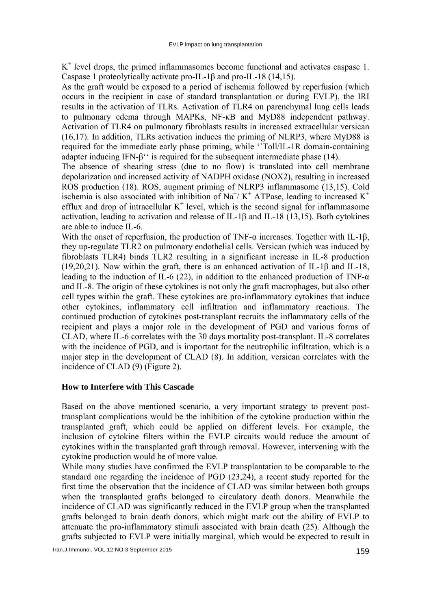$K<sup>+</sup>$  level drops, the primed inflammasomes become functional and activates caspase 1. Caspase 1 proteolytically activate pro-IL-1β and pro-IL-18 (14,15).

As the graft would be exposed to a period of ischemia followed by reperfusion (which occurs in the recipient in case of standard transplantation or during EVLP), the IRI results in the activation of TLRs. Activation of TLR4 on parenchymal lung cells leads to pulmonary edema through MAPKs, NF-κB and MyD88 independent pathway. Activation of TLR4 on pulmonary fibroblasts results in increased extracellular versican (16,17). In addition, TLRs activation induces the priming of NLRP3, where MyD88 is required for the immediate early phase priming, while ''Toll/IL-1R domain-containing adapter inducing IFN-β'' is required for the subsequent intermediate phase (14).

The absence of shearing stress (due to no flow) is translated into cell membrane depolarization and increased activity of NADPH oxidase (NOX2), resulting in increased ROS production (18). ROS, augment priming of NLRP3 inflammasome (13,15). Cold ischemia is also associated with inhibition of Na<sup>+</sup>/ K<sup>+</sup> ATPase, leading to increased K<sup>+</sup> efflux and drop of intracellular  $K^+$  level, which is the second signal for inflammasome activation, leading to activation and release of IL-1β and IL-18 (13,15). Both cytokines are able to induce IL-6.

With the onset of reperfusion, the production of TNF- $\alpha$  increases. Together with IL-1 $\beta$ , they up-regulate TLR2 on pulmonary endothelial cells. Versican (which was induced by fibroblasts TLR4) binds TLR2 resulting in a significant increase in IL-8 production (19,20,21). Now within the graft, there is an enhanced activation of IL-1β and IL-18, leading to the induction of IL-6 (22), in addition to the enhanced production of TNF- $\alpha$ and IL-8. The origin of these cytokines is not only the graft macrophages, but also other cell types within the graft. These cytokines are pro-inflammatory cytokines that induce other cytokines, inflammatory cell infiltration and inflammatory reactions. The continued production of cytokines post-transplant recruits the inflammatory cells of the recipient and plays a major role in the development of PGD and various forms of CLAD, where IL-6 correlates with the 30 days mortality post-transplant. IL-8 correlates with the incidence of PGD, and is important for the neutrophilic infiltration, which is a major step in the development of CLAD (8). In addition, versican correlates with the incidence of CLAD (9) (Figure 2).

## **How to Interfere with This Cascade**

Based on the above mentioned scenario, a very important strategy to prevent posttransplant complications would be the inhibition of the cytokine production within the transplanted graft, which could be applied on different levels. For example, the inclusion of cytokine filters within the EVLP circuits would reduce the amount of cytokines within the transplanted graft through removal. However, intervening with the cytokine production would be of more value.

While many studies have confirmed the EVLP transplantation to be comparable to the standard one regarding the incidence of PGD (23,24), a recent study reported for the first time the observation that the incidence of CLAD was similar between both groups when the transplanted grafts belonged to circulatory death donors. Meanwhile the incidence of CLAD was significantly reduced in the EVLP group when the transplanted grafts belonged to brain death donors, which might mark out the ability of EVLP to attenuate the pro-inflammatory stimuli associated with brain death (25). Although the grafts subjected to EVLP were initially marginal, which would be expected to result in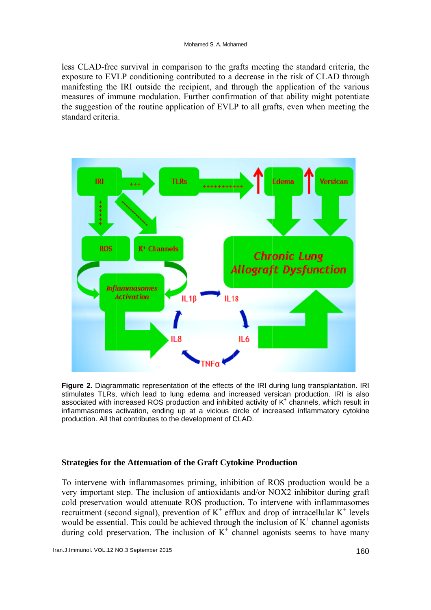less CLAD-free survival in comparison to the grafts meeting the standard criteria, the exposure to EVLP conditioning contributed to a decrease in the risk of CLAD through manifesting the IRI outside the recipient, and through the application of the various measures of immune modulation. Further confirmation of that ability might potentiate the suggestion of the routine application of EVLP to all grafts, even when meeting the standard criteria



Figure 2. Diagrammatic representation of the effects of the IRI during lung transplantation. IRI stimulates TLRs, which lead to lung edema and increased versican production. IRI is also associated with increased ROS production and inhibited activity of K<sup>+</sup> channels, which result in inflammasomes activation, ending up at a vicious circle of increased inflammatory cytokine production. All that contributes to the development of CLAD.

#### **Strategies for the Attenuation of the Graft Cytokine Production**

To intervene with inflammasomes priming, inhibition of ROS production would be a very important step. The inclusion of antioxidants and/or NOX2 inhibitor during graft cold preservation would attenuate ROS production. To intervene with inflammasomes recruitment (second signal), prevention of  $K^+$  efflux and drop of intracellular  $K^+$  levels would be essential. This could be achieved through the inclusion of  $K^+$  channel agonists during cold preservation. The inclusion of  $K^+$  channel agonists seems to have many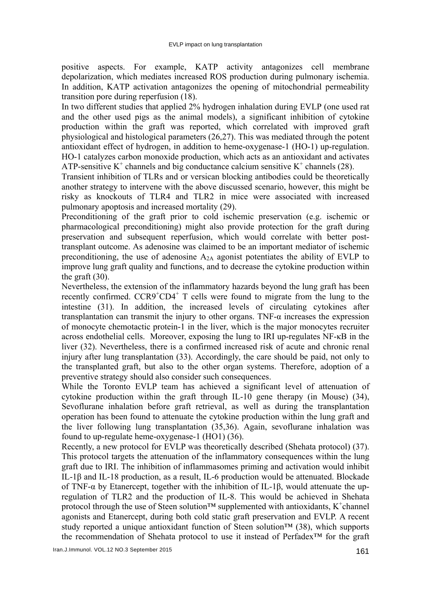positive aspects. For example, KATP activity antagonizes cell membrane depolarization, which mediates increased ROS production during pulmonary ischemia. In addition, KATP activation antagonizes the opening of mitochondrial permeability transition pore during reperfusion (18).

In two different studies that applied 2% hydrogen inhalation during EVLP (one used rat and the other used pigs as the animal models), a significant inhibition of cytokine production within the graft was reported, which correlated with improved graft physiological and histological parameters (26,27). This was mediated through the potent antioxidant effect of hydrogen, in addition to heme-oxygenase-1 (HO-1) up-regulation. HO-1 catalyzes carbon monoxide production, which acts as an antioxidant and activates ATP-sensitive  $K^+$  channels and big conductance calcium sensitive  $K^+$  channels (28).

Transient inhibition of TLRs and or versican blocking antibodies could be theoretically another strategy to intervene with the above discussed scenario, however, this might be risky as knockouts of TLR4 and TLR2 in mice were associated with increased pulmonary apoptosis and increased mortality (29).

Preconditioning of the graft prior to cold ischemic preservation (e.g. ischemic or pharmacological preconditioning) might also provide protection for the graft during preservation and subsequent reperfusion, which would correlate with better posttransplant outcome. As adenosine was claimed to be an important mediator of ischemic preconditioning, the use of adenosine  $A_{2A}$  agonist potentiates the ability of EVLP to improve lung graft quality and functions, and to decrease the cytokine production within the graft  $(30)$ .

Nevertheless, the extension of the inflammatory hazards beyond the lung graft has been recently confirmed. CCR9<sup>+</sup>CD4<sup>+</sup> T cells were found to migrate from the lung to the intestine (31). In addition, the increased levels of circulating cytokines after transplantation can transmit the injury to other organs. TNF-α increases the expression of monocyte chemotactic protein-1 in the liver, which is the major monocytes recruiter across endothelial cells. Moreover, exposing the lung to IRI up-regulates NF-κB in the liver (32). Nevertheless, there is a confirmed increased risk of acute and chronic renal injury after lung transplantation (33). Accordingly, the care should be paid, not only to the transplanted graft, but also to the other organ systems. Therefore, adoption of a preventive strategy should also consider such consequences.

While the Toronto EVLP team has achieved a significant level of attenuation of cytokine production within the graft through IL-10 gene therapy (in Mouse) (34), Sevoflurane inhalation before graft retrieval, as well as during the transplantation operation has been found to attenuate the cytokine production within the lung graft and the liver following lung transplantation (35,36). Again, sevoflurane inhalation was found to up-regulate heme-oxygenase-1 (HO1) (36).

Recently, a new protocol for EVLP was theoretically described (Shehata protocol) (37). This protocol targets the attenuation of the inflammatory consequences within the lung graft due to IRI. The inhibition of inflammasomes priming and activation would inhibit IL-1β and IL-18 production, as a result, IL-6 production would be attenuated. Blockade of TNF-α by Etanercept, together with the inhibition of IL-1β, would attenuate the upregulation of TLR2 and the production of IL-8. This would be achieved in Shehata protocol through the use of Steen solution<sup>™</sup> supplemented with antioxidants, K<sup>+</sup>channel agonists and Etanercept, during both cold static graft preservation and EVLP. A recent study reported a unique antioxidant function of Steen solution™ (38), which supports the recommendation of Shehata protocol to use it instead of Perfadex™ for the graft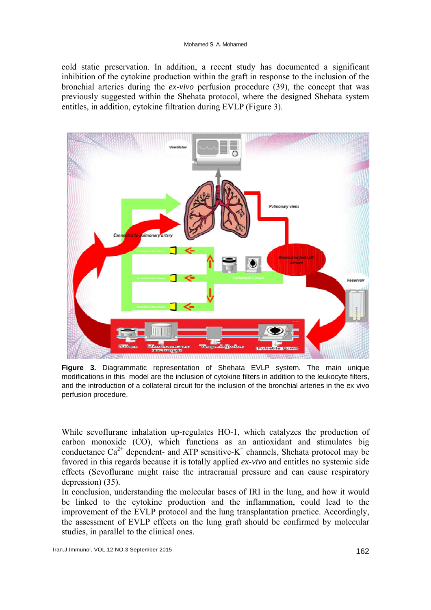cold static preservation. In addition, a recent study has documented a significant inhibition of the cytokine production within the graft in response to the inclusion of the bronchial arteries during the *ex-vivo* perfusion procedure (39), the concept that was previously suggested within the Shehata protocol, where the designed Shehata system entitles, in addition, cytokine filtration during EVLP (Figure 3).



**Figure 3.** Diagrammatic representation of Shehata EVLP system. The main unique modifications in this model are the inclusion of cytokine filters in addition to the leukocyte filters, and the introduction of a collateral circuit for the inclusion of the bronchial arteries in the ex vivo perfusion procedure.

While sevoflurane inhalation up-regulates HO-1, which catalyzes the production of carbon monoxide (CO), which functions as an antioxidant and stimulates big conductance  $Ca^{2+}$  dependent- and ATP sensitive-K<sup>+</sup> channels, Shehata protocol may be favored in this regards because it is totally applied *ex-vivo* and entitles no systemic side effects (Sevoflurane might raise the intracranial pressure and can cause respiratory depression) (35).

In conclusion, understanding the molecular bases of IRI in the lung, and how it would be linked to the cytokine production and the inflammation, could lead to the improvement of the EVLP protocol and the lung transplantation practice. Accordingly, the assessment of EVLP effects on the lung graft should be confirmed by molecular studies, in parallel to the clinical ones.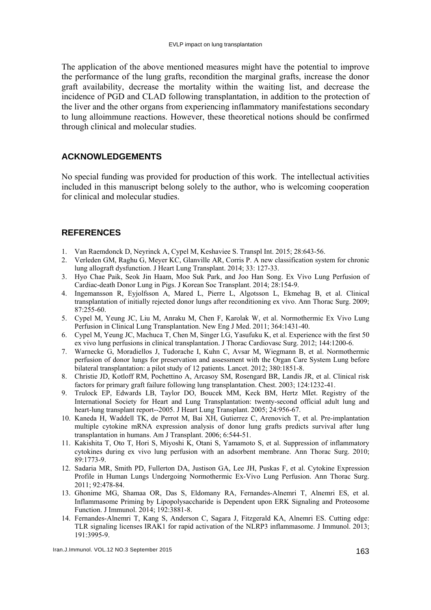The application of the above mentioned measures might have the potential to improve the performance of the lung grafts, recondition the marginal grafts, increase the donor graft availability, decrease the mortality within the waiting list, and decrease the incidence of PGD and CLAD following transplantation, in addition to the protection of the liver and the other organs from experiencing inflammatory manifestations secondary to lung alloimmune reactions. However, these theoretical notions should be confirmed through clinical and molecular studies.

#### **ACKNOWLEDGEMENTS**

No special funding was provided for production of this work. The intellectual activities included in this manuscript belong solely to the author, who is welcoming cooperation for clinical and molecular studies.

### **REFERENCES**

- 1. Van Raemdonck D, Neyrinck A, Cypel M, Keshaviee S. Transpl Int. 2015; 28:643-56.
- 2. Verleden GM, Raghu G, Meyer KC, Glanville AR, Corris P. A new classification system for chronic lung allograft dysfunction. J Heart Lung Transplant. 2014; 33: 127-33.
- 3. Hyo Chae Paik, Seok Jin Haam, Moo Suk Park, and Joo Han Song. Ex Vivo Lung Perfusion of Cardiac-death Donor Lung in Pigs. J Korean Soc Transplant. 2014; 28:154-9.
- 4. Ingemansson R, Eyjolfsson A, Mared L, Pierre L, Algotsson L, Ekmehag B, et al. Clinical transplantation of initially rejected donor lungs after reconditioning ex vivo. Ann Thorac Surg. 2009; 87:255-60.
- 5. Cypel M, Yeung JC, Liu M, Anraku M, Chen F, Karolak W, et al. Normothermic Ex Vivo Lung Perfusion in Clinical Lung Transplantation. New Eng J Med. 2011; 364:1431-40.
- 6. Cypel M, Yeung JC, Machuca T, Chen M, Singer LG, Yasufuku K, et al. Experience with the first 50 ex vivo lung perfusions in clinical transplantation. J Thorac Cardiovasc Surg. 2012; 144:1200-6.
- 7. Warnecke G, Moradiellos J, Tudorache I, Kuhn C, Avsar M, Wiegmann B, et al. Normothermic perfusion of donor lungs for preservation and assessment with the Organ Care System Lung before bilateral transplantation: a pilot study of 12 patients. Lancet. 2012; 380:1851-8.
- 8. Christie JD, Kotloff RM, Pochettino A, Arcasoy SM, Rosengard BR, Landis JR, et al. Clinical risk factors for primary graft failure following lung transplantation. Chest. 2003; 124:1232-41.
- 9. Trulock EP, Edwards LB, Taylor DO, Boucek MM, Keck BM, Hertz MIet. Registry of the International Society for Heart and Lung Transplantation: twenty-second official adult lung and heart-lung transplant report--2005. J Heart Lung Transplant. 2005; 24:956-67.
- 10. Kaneda H, Waddell TK, de Perrot M, Bai XH, Gutierrez C, Arenovich T, et al. Pre-implantation multiple cytokine mRNA expression analysis of donor lung grafts predicts survival after lung transplantation in humans. Am J Transplant. 2006; 6:544-51.
- 11. Kakishita T, Oto T, Hori S, Miyoshi K, Otani S, Yamamoto S, et al. Suppression of inflammatory cytokines during ex vivo lung perfusion with an adsorbent membrane. Ann Thorac Surg. 2010; 89:1773-9.
- 12. Sadaria MR, Smith PD, Fullerton DA, Justison GA, Lee JH, Puskas F, et al. Cytokine Expression Profile in Human Lungs Undergoing Normothermic Ex-Vivo Lung Perfusion. Ann Thorac Surg. 2011; 92:478-84.
- 13. Ghonime MG, Shamaa OR, Das S, Eldomany RA, Fernandes-Alnemri T, Alnemri ES, et al. Inflammasome Priming by Lipopolysaccharide is Dependent upon ERK Signaling and Proteosome Function. J Immunol. 2014; 192:3881-8.
- 14. Fernandes-Alnemri T, Kang S, Anderson C, Sagara J, Fitzgerald KA, Alnemri ES. Cutting edge: TLR signaling licenses IRAK1 for rapid activation of the NLRP3 inflammasome. J Immunol. 2013; 191:3995-9.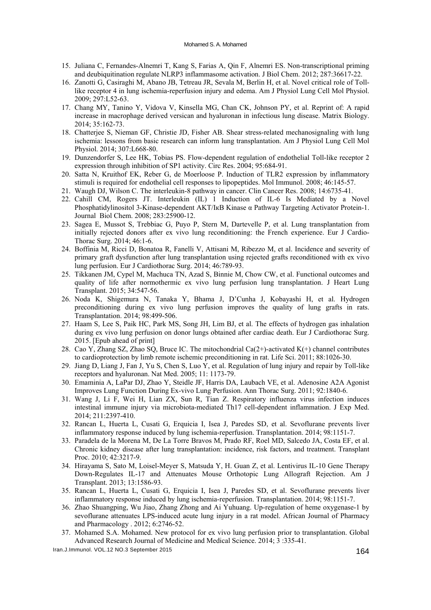#### Mohamed S. A. Mohamed

- 15. Juliana C, Fernandes-Alnemri T, Kang S, Farias A, Qin F, Alnemri ES. Non-transcriptional priming and deubiquitination regulate NLRP3 inflammasome activation. J Biol Chem. 2012; 287:36617-22.
- 16. Zanotti G, Casiraghi M, Abano JB, Tetreau JR, Sevala M, Berlin H, et al. Novel critical role of Tolllike receptor 4 in lung ischemia-reperfusion injury and edema. Am J Physiol Lung Cell Mol Physiol. 2009; 297:L52-63.
- 17. Chang MY, Tanino Y, Vidova V, Kinsella MG, Chan CK, Johnson PY, et al. Reprint of: A rapid increase in macrophage derived versican and hyaluronan in infectious lung disease. Matrix Biology. 2014; 35:162-73.
- 18. Chatterjee S, Nieman GF, Christie JD, Fisher AB. Shear stress-related mechanosignaling with lung ischemia: lessons from basic research can inform lung transplantation. Am J Physiol Lung Cell Mol Physiol. 2014; 307:L668-80.
- 19. Dunzendorfer S, Lee HK, Tobias PS. Flow-dependent regulation of endothelial Toll-like receptor 2 expression through inhibition of SP1 activity. Circ Res. 2004; 95:684-91.
- 20. Satta N, Kruithof EK, Reber G, de Moerloose P. Induction of TLR2 expression by inflammatory stimuli is required for endothelial cell responses to lipopeptides. Mol Immunol. 2008; 46:145-57.
- 21. Waugh DJ, Wilson C. The interleukin-8 pathway in cancer. Clin Cancer Res. 2008; 14:6735-41.
- 22. Cahill CM, Rogers JT. Interleukin (IL) 1 Induction of IL-6 Is Mediated by a Novel Phosphatidylinositol 3-Kinase-dependent AKT/IкB Kinase α Pathway Targeting Activator Protein-1. Journal Biol Chem. 2008; 283:25900-12.
- 23. Sagea E, Mussot S, Trebbiac G, Puyo P, Stern M, Dartevelle P, et al. Lung transplantation from initially rejected donors after ex vivo lung reconditioning: the French experience. Eur J Cardio-Thorac Surg. 2014; 46:1-6.
- 24. Boffinia M, Ricci D, Bonatoa R, Fanelli V, Attisani M, Ribezzo M, et al. Incidence and severity of primary graft dysfunction after lung transplantation using rejected grafts reconditioned with ex vivo lung perfusion. Eur J Cardiothorac Surg. 2014; 46:789-93.
- 25. Tikkanen JM, Cypel M, Machuca TN, Azad S, Binnie M, Chow CW, et al. Functional outcomes and quality of life after normothermic ex vivo lung perfusion lung transplantation. J Heart Lung Transplant. 2015; 34:547-56.
- 26. Noda K, Shigemura N, Tanaka Y, Bhama J, D'Cunha J, Kobayashi H, et al. Hydrogen preconditioning during ex vivo lung perfusion improves the quality of lung grafts in rats. Transplantation. 2014; 98:499-506.
- 27. Haam S, Lee S, Paik HC, Park MS, Song JH, Lim BJ, et al. The effects of hydrogen gas inhalation during ex vivo lung perfusion on donor lungs obtained after cardiac death. Eur J Cardiothorac Surg. 2015. [Epub ahead of print]
- 28. Cao Y, Zhang SZ, Zhao SQ, Bruce IC. The mitochondrial Ca(2+)-activated K(+) channel contributes to cardioprotection by limb remote ischemic preconditioning in rat. Life Sci. 2011; 88:1026-30.
- 29. Jiang D, Liang J, Fan J, Yu S, Chen S, Luo Y, et al. Regulation of lung injury and repair by Toll-like receptors and hyaluronan. Nat Med. 2005; 11: 1173-79.
- 30. Emaminia A, LaPar DJ, Zhao Y, Steidle JF, Harris DA, Laubach VE, et al. Adenosine A2A Agonist Improves Lung Function During Ex-vivo Lung Perfusion. Ann Thorac Surg. 2011; 92:1840-6.
- 31. Wang J, Li F, Wei H, Lian ZX, Sun R, Tian Z. Respiratory influenza virus infection induces intestinal immune injury via microbiota-mediated Th17 cell-dependent inflammation. J Exp Med. 2014; 211:2397-410.
- 32. Rancan L, Huerta L, Cusati G, Erquicia I, Isea J, Paredes SD, et al. Sevoflurane prevents liver inflammatory response induced by lung ischemia-reperfusion. Transplantation. 2014; 98:1151-7.
- 33. Paradela de la Morena M, De La Torre Bravos M, Prado RF, Roel MD, Salcedo JA, Costa EF, et al. Chronic kidney disease after lung transplantation: incidence, risk factors, and treatment. Transplant Proc. 2010; 42:3217-9.
- 34. Hirayama S, Sato M, Loisel-Meyer S, Matsuda Y, H. Guan Z, et al. Lentivirus IL-10 Gene Therapy Down-Regulates IL-17 and Attenuates Mouse Orthotopic Lung Allograft Rejection. Am J Transplant. 2013; 13:1586-93.
- 35. Rancan L, Huerta L, Cusati G, Erquicia I, Isea J, Paredes SD, et al. Sevoflurane prevents liver inflammatory response induced by lung ischemia-reperfusion. Transplantation. 2014; 98:1151-7.
- 36. Zhao Shuangping, Wu Jiao, Zhang Zhong and Ai Yuhuang. Up-regulation of heme oxygenase-1 by sevoflurane attenuates LPS-induced acute lung injury in a rat model. African Journal of Pharmacy and Pharmacology . 2012; 6:2746-52.
- 37. Mohamed S.A. Mohamed. New protocol for ex vivo lung perfusion prior to transplantation. Global Advanced Research Journal of Medicine and Medical Science. 2014; 3 :335-41.